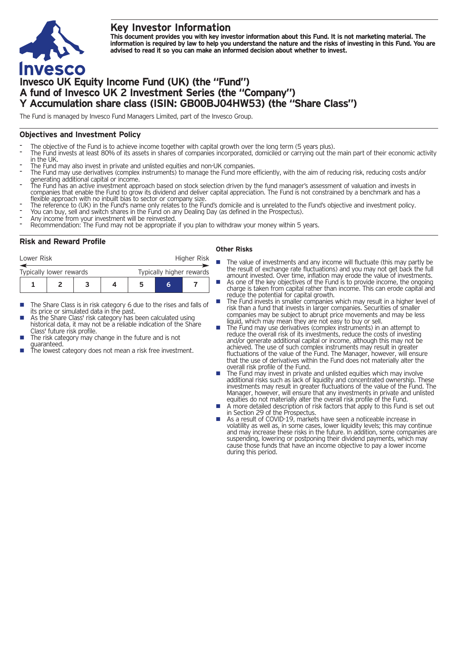# **Key Investor Information**

This document provides you with key investor information about this Fund. It is not marketing material. The information is required by law to help you understand the nature and the risks of investing in this Fund. You are **advised to read it so you can make an informed decision about whether to invest.**

# **Invesco UK Equity Income Fund (UK) (the "Fund") A fund of Invesco UK 2 Investment Series (the "Company") Y Accumulation share class (ISIN: GB00BJ04HW53) (the "Share Class")**

The Fund is managed by Invesco Fund Managers Limited, part of the Invesco Group.

#### **Objectives and Investment Policy**

- 
- The objective of the Fund is to achieve income together with capital growth over the long term (5 years plus).<br>The Fund invests at least 80% of its assets in shares of companies incorporated, domiciled or carrying out the
- 
- The Fund may also invest in private and unlisted equities and non-UK companies.<br>The Fund may use derivatives (complex instruments) to manage the Fund more efficiently, with the aim of reducing risk, reducing costs and/or g
- generating additional capital or income.<br>The Fund has an active investment approach based on stock selection driven by the fund manager's assessment of valuation and invests in<br>companies that enable the Fund to grow its di
- flexible approach with no inbuilt bias to sector or company size.<br>The reference to (UK) in the Fund's name only relates to the Fund's domicile and is unrelated to the Fund's objective and investment policy.<br>The reference t
- 
- 

#### **Risk and Reward Profile**

| Lower Risk              |  |  | Higher Risk              |   |  |
|-------------------------|--|--|--------------------------|---|--|
| Typically lower rewards |  |  | Typically higher rewards |   |  |
|                         |  |  |                          | 6 |  |

- The Share Class is in risk category 6 due to the rises and falls of its price or simulated data in the past.
- As the Share Class' risk category has been calculated using historical data, it may not be a reliable indication of the Share<br>Class' future risk profile.
- The risk category may change in the future and is not<br>quaranteed.
- The lowest category does not mean a risk free investment.

#### **Other Risks**

- The value of investments and any income will fluctuate (this may partly be the result of exchange rate fluctuations) and you may not get back the full amount invested. Over time, inflation may erode the value of investments.
- As one of the key objectives of the Fund is to provide income, the ongoing charge is taken from capital rather than income. This can erode capital and reduce the potential for capital growth.
- The Fund invests in smaller companies which may result in a higher level of risk than a fund that invests in larger companies. Securities of smaller companies may be subject to abrupt price movements and may be less liquid, which may mean they are not easy to buy or sell.
- The Fund may use derivatives (complex instruments) in an attempt to reduce the overall risk of its investments, reduce the costs of investing and/or generate additional capital or income, although this may not be achieved. The use of such complex instruments may result in greater fluctuations of the value of the Fund. The Manager, however, will ensure that the use of derivatives within the Fund does not materially alter the
- The Fund may invest in private and unlisted equities which may involve additional risks such as lack of liquidity and concentrated ownership. These investments may result in greater fluctuations of the value of the Fund. The Manager, however, will ensure that any investments in private and unlisted equities do not materially alter the overall risk profile of the Fund.
- A more detailed description of risk factors that apply to this Fund is set out in Section 29 of the Prospectus.
- As a result of COVID-19, markets have seen a noticeable increase in volatility as well as, in some cases, lower liquidity levels; this may continue and may increase these risks in the future. In addition, some companies are suspending, lowering or postponing their dividend payments, which may cause those funds that have an income objective to pay a lower income during this period.